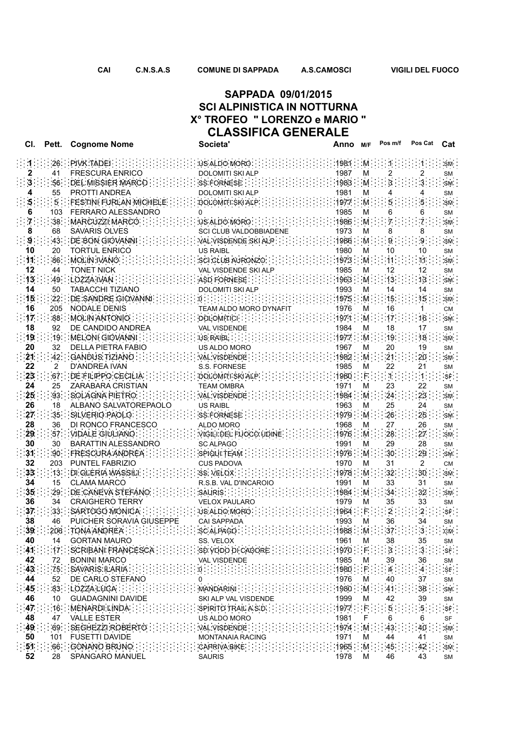## **CLASSIFICA GENERALE SAPPADA 09/01/2015 SCI ALPINISTICA IN NOTTURNA X° TROFEO " LORENZO e MARIO "**

| CI.             | Pett.           | <b>Cognome Nome</b>                                                                                         | Societa'                      | Anno <sub>M/F</sub> |              | Pos m/f         | Pos Cat       | Cat                          |
|-----------------|-----------------|-------------------------------------------------------------------------------------------------------------|-------------------------------|---------------------|--------------|-----------------|---------------|------------------------------|
|                 |                 | $26$ PIVK TADEL $\cdots$                                                                                    | US ALDO MORO                  | 1981 M              |              |                 |               | SM.                          |
| 2               | 41              | <b>FRESCURA ENRICO</b>                                                                                      | <b>DOLOMITI SKI ALP</b>       | 1987                | М            |                 |               | SM                           |
| 3.              | 56.             | DEL MISSIER: MARCO                                                                                          | SS FORNESE                    | 1983                | M            |                 |               | $\textsf{SM}$ .              |
|                 | 55              | PROTTI ANDREA                                                                                               | DOLOMITI SKI ALP              | 1981                | М            |                 |               | <b>SM</b>                    |
|                 | $5 -$           | FESTINI FURLAN MICHELE                                                                                      | DOLOMITI SKI ALP              | 1977                | M            |                 |               | SM                           |
|                 | 103             | FERRARO ALESSANDRO                                                                                          | 0                             | 1985                | М            |                 |               | SM                           |
|                 | 38.             | MARCUZZI MARCO:                                                                                             | US ALDO MORO:                 | 1986                | $M$ .        |                 |               | SM.                          |
| 8               | 68              | <b>SAVARIS OLVES</b>                                                                                        | <b>SCI CLUB VALDOBBIADENE</b> | 1973                | М            |                 |               | SM                           |
| 9               | 43.             | DE BON GIOVANNI                                                                                             | VAL VISDENDE SKI ALP.         | 1986                | M.           | g.              |               | SM                           |
| 10              | 20              | <b>TORTUL ENRICO</b>                                                                                        | <b>US RAIBL</b>               | 1980                | М            | 10              | 10            | SM                           |
| $\mathbf{11}$   | 86              | MOLIN IVANO                                                                                                 | SCI CLUB AURONZO              | 1973                | M            | $11 -$          | 11            | SM                           |
| 12              | 44              | <b>TONET NICK</b>                                                                                           | VAL VISDENDE SKI ALP          | 1985                | М            | 12              | 12            | SM                           |
| 13 <sub>1</sub> | 49.             | :LOZZA IVAN                                                                                                 | ASD FORNESE                   | 1963:               | M            | 13.             | 13            | SM                           |
| 14              | 50              | <b>TABACCHI TIZIANO</b>                                                                                     | <b>DOLOMITI SKI ALP</b>       | 1993                | м            | 14              | 14            | SM                           |
| 15              | $22 -$          | DE SANDRE GIOVANNI                                                                                          |                               | 1975                | M            | 15              |               | SM                           |
| 16              | 205             | <b>NODALE DENIS</b>                                                                                         | TEAM ALDO MORO DYNAFIT        | 1976                | М            | 16              |               | СM                           |
| 17 <sub>1</sub> | 88.             | MOLIN ANTONIO                                                                                               | DOLOMITICI:                   | 1971                | M            | 17 <sup>1</sup> | 16            | SM.                          |
| 18              | 92              | DE CANDIDO ANDREA                                                                                           | <b>VAL VISDENDE</b>           | 1984                | M            | 18              | 17            | <b>SM</b>                    |
| 19              | 19              | : MELONI GIOVANNI                                                                                           | US RAIBL                      | 1977                | M.           | 19              | 18            | SM.                          |
| 20<br>21        | 32<br>42.       | <b>DELLA PIETRA FABIO</b>                                                                                   | US ALDO MORO                  | 1967<br>1982        | м            | 20<br>21        | 19<br>20      | SM                           |
| 22              | 2               | GANDUS TIZIANO<br><b>D'ANDREA IVAN</b>                                                                      | VAL VISDENDE<br>S.S. FORNESE  | 1985                | M<br>М       | 22              | 21            | <b>SM</b>                    |
| 23              | 67.             | DE FILIPPO CECILIA                                                                                          | :DOLOMITI SKI ALP :           | 1980                | F.           |                 |               | SM<br>$\mbox{SF}$ :          |
| 24              | 25              | ZARABARA CRISTIAN                                                                                           | <b>TEAM OMBRA</b>             | 1971                | М            | 23              | 22            |                              |
| 25 <sub>2</sub> | 93.             | SOLAGNA PIETRO                                                                                              | VAL VISDENDE                  | 1984                | M.           | 24              | 23            | SM<br>SM                     |
| 26              | 18              | ALBANO SALVATOREPAOLO                                                                                       | US RAIBL                      | 1963                | м            | 25              | 24            | SM                           |
| 27 <sub>z</sub> | 35 <sup>2</sup> | SILVERIO PAOLO.                                                                                             | SS FORNESE                    | 1979                | M            | 26              | 25            | $\mathsf{SM}$ :              |
| 28              | 36              | DI RONCO FRANCESCO                                                                                          | ALDO MORO                     | 1968                | м            | 27              | 26            | <b>SM</b>                    |
| 29              | 57              | VIDALE GIULIANO                                                                                             | VIGILI DEL FUOCO UDINE.       | 1976                | M.           | 28              | 27            | SM                           |
| 30              | 30              | <b>BARATTIN ALESSANDRO</b>                                                                                  | <b>SC ALPAGO</b>              | 1991                | М            | 29              | 28            | SM                           |
| 31              |                 | :90: FRESCURA ANDREA :                                                                                      | SPIOUI TEAM                   | 1976                | M            | 30 <sub>o</sub> | 29            | <b>SM</b>                    |
| 32              | 203             | PUNTEL FABRIZIO                                                                                             | <b>CUS PADOVA</b>             | 1970                | М            | 31              | 2             | СM                           |
| 33 <sub>1</sub> | 13              | : DI GLERIA WASSILI: :                                                                                      | :SS. VELOX                    | 1978                | M            | 32              | $30\,$        | SM.                          |
| 34              | 15              | <b>CLAMA MARCO</b>                                                                                          | R.S.B. VAL D'INCAROIO         | 1991                | М            | 33              | 31            | SM                           |
| 35              | 29              | DE CANEVA STEFANO                                                                                           | <b>SAURIS</b>                 | 1984                | M.           | 34              | 32            | SM                           |
| 36              | 34              | <b>CRAIGHERO TERRY</b>                                                                                      | <b>VELOX PAULARO</b>          | 1979                | м            | 35              | 33            | SM                           |
| 37              | 33 <sub>2</sub> | SARTOGO MONICA                                                                                              | US ALDO MORO                  | 1964                |              |                 |               | SF                           |
| 38              | 46              | PUICHER SORAVIA GIUSEPPE                                                                                    | <b>CAI SAPPADA</b>            | 1993                | М            | 36              | 34            | <b>SM</b>                    |
| 39              |                 | 206 TONA ANDREA                                                                                             | SC ALPAGO                     | 1988 M              |              | 37 <sub>1</sub> | $\cdot$ 3     | CM                           |
| 40              | 14              | <b>GORTAN MAURO</b>                                                                                         | SS. VELOX                     | 1961                | м            | 38              | 35            | SM                           |
| 41              |                 | $\mathbf{17}^{\prime}$ : SCRIBANI FRANCESCA : : : : : : : : : : : sp vodo di CADORE : : : : : : : : : : : : |                               | 1970                | $\mathsf{F}$ | $3$ :           | $\cdot$ 3.    | SF                           |
| 42              | 72              | <b>BONINI MARCO</b>                                                                                         | VAL VISDENDE                  | 1985                | м            | 39              | 36            | SM                           |
| 43 <sup>2</sup> | 75.             | : SAVARIS ILARIA                                                                                            | <b>REFERENCE ENTERED EN</b>   | 1980.               | $F$ .        | $-4$            | $\mathcal{A}$ | SF                           |
| 44              | 52              | DE CARLO STEFANO                                                                                            | 0                             | 1976                | м            | 40              | 37            | SM                           |
| 45              |                 | 83 LOZZA LUCA                                                                                               | <b>MANDARINI</b>              | 1980                | M            | 41              | 38            | SM                           |
| 46              | 10              | <b>GUADAGNINI DAVIDE</b>                                                                                    | SKI ALP VAL VISDENDE          | 1999                | м            | 42              | 39            | SM                           |
| 47              | 16.             | : MENARDI LINDA :                                                                                           | SPIRITO TRAILASD.             | 1977                | ÷Ε.          | -5.             | .5.           | $\ensuremath{\mathsf{SF}}$ : |
| 48              | 47              | <b>VALLE ESTER</b>                                                                                          | US ALDO MORO                  | 1981                |              | 6               | 6             | SF                           |
| 49              |                 | 69 SEGHEZZI ROBERTO                                                                                         | VAL VISDENDE                  | 1974                | M            | 43              | 40            | SM                           |
| 50              | 101             | <b>FUSETTI DAVIDE</b>                                                                                       | <b>MONTANAIA RACING</b>       | 1971                | м            | 44              | 41            | SM                           |
| 51              |                 | 66 GONANO BRUNO                                                                                             | :CAPRIVA BIKE:                | 1965                | M            | 45              | 42            | <b>SM</b>                    |
| 52              | 28              | SPANGARO MANUEL                                                                                             | <b>SAURIS</b>                 | 1978                | М            | 46              | 43            | <b>SM</b>                    |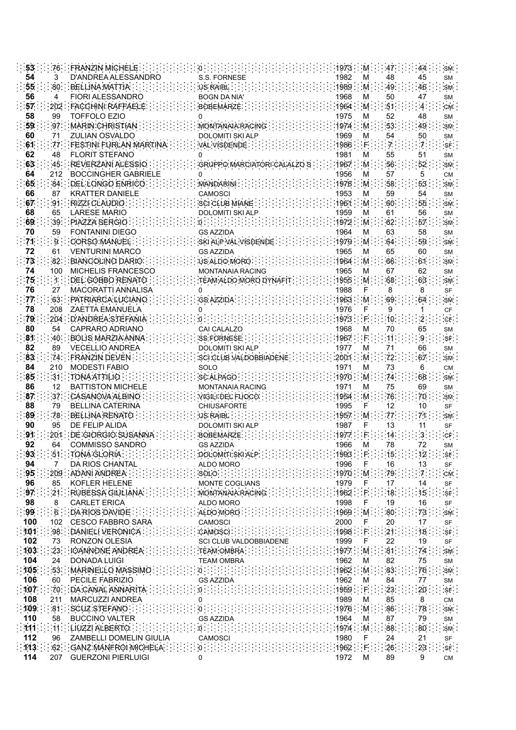| 53 <sub>1</sub> |                 | 76 FRANZIN MICHELE:        |                         | 1973 M |      | 47.              | SM.<br>44                                 |
|-----------------|-----------------|----------------------------|-------------------------|--------|------|------------------|-------------------------------------------|
| 54              | 3               | D'ANDREA ALESSANDRO        | S.S. FORNESE            | 1982   | М    | 48               | 45<br><b>SM</b>                           |
| 55              | 80 <sup>°</sup> | <b>BELLINA MATTIA</b>      | US RAIBL                | 1989   | M.   | 49               | 46<br>SM.                                 |
| 56              | 4               | <b>FIORI ALESSANDRO</b>    | <b>BOGN DA NIA'</b>     | 1968   | м    | 50               | 47<br>SM                                  |
|                 |                 |                            |                         |        |      |                  |                                           |
| 57              | $202 -$         | <b>FACCHINI RAFFAELE</b>   | <b>BOBEMARZE</b>        | 1964   | M.   | 51               | CM.<br>$-4-$                              |
| 58              | 99              | <b>TOFFOLO EZIO</b>        |                         | 1975   | М    | 52               | 48<br><b>SM</b>                           |
| 59              | 97.             | : MARIN CHRISTIAN          | MONTANAIA RACING        | 1974   | M.   | 53               | 49<br>$\mathsf{SM}$ .                     |
| 60              | 71              | <b>ZULIAN OSVALDO</b>      | <b>DOLOMITI SKI ALP</b> | 1969   | М    | 54               | 50<br><b>SM</b>                           |
| 61              | 77.             | FESTINI FURLAN MARTIN      | VAL VISDENDE            | 1986   | F.   |                  | 7.<br>$\ensuremath{\mathsf{SF}}\xspace$ . |
|                 |                 | <b>FLORIT STEFANO</b>      |                         |        |      |                  |                                           |
| 62              | 48              |                            |                         | 1981   | М    | 55               | 51<br><b>SM</b>                           |
| 63              | 45              | REVERZANI ALESSIO          | GRUPPO MARCIATORI CALA  | 1967   | .M   | 56               | 52<br>SM.                                 |
| 64              | 212             | <b>BOCCINGHER GABRIELE</b> | 0                       | 1956   | М    | 57               | 5<br><b>CM</b>                            |
| 65              | 84              | : DEL LONGO ENRICO         | <b>MANDARINI</b>        | 1978   | M.   | 58               | 53<br>SM.                                 |
| 66              | 87              | <b>KRATTER DANIELE</b>     | <b>CAMOSCI</b>          | 1953   | М    | 59               | 54<br><b>SM</b>                           |
| 67              | .91             | RIZZI CLAUDIO              | SCI CLUB MIANE:         | 1961   | M    | 60               | 55<br>SM                                  |
|                 |                 |                            |                         |        |      |                  |                                           |
| 68              | 65              | <b>LARESE MARIO</b>        | <b>DOLOMITI SKI ALP</b> | 1959   | М    | 61               | 56<br><b>SM</b>                           |
| 69              | 39.             | PIAZZA SERGIO              | О.                      | 1972   | M    | 62               | 57<br>SM.                                 |
| 70              | 59              | <b>FONTANINI DIEGO</b>     | <b>GS AZZIDA</b>        | 1964   | М    | 63               | 58<br>SM                                  |
| 71              | $\overline{9}$  | CORSO MANUEL               | SKI ALP VAL VISDENDE    | 1979   | M    | 64               | 59<br>SM                                  |
| 72              | 61              | <b>VENTURINI MARCO</b>     | <b>GS AZZIDA</b>        | 1965   | М    | 65               | 60<br><b>SM</b>                           |
| 73              | 82.             | <b>BIANCOLINO DARIO</b>    | US ALDO MORO            | 1964   | M    | 66               | 61                                        |
|                 |                 |                            |                         |        |      |                  | SM.                                       |
| 74              | 100             | MICHELIS FRANCESCO         | MONTANAIA RACING        | 1965   | М    | 67               | 62<br>SM                                  |
| 75              | $\overline{1}$  | DEL GOBBO RENATO           | TEAM ALDO MORO DYNAFI   | 1955   | M.   | 68               | 63<br>SM                                  |
| 76              | 27              | <b>MACORATTI ANNALISA</b>  |                         | 1988   |      |                  | SF                                        |
| 77              | 63.             | PATRIARCA LUCIANO          | <b>GS AZZIDA</b>        | 1963   | M    | 69               | <b>SM</b><br>64                           |
| 78              | 208             | ZAETTA EMANUELA            | 0                       | 1976   |      | 9                | СF                                        |
| 79              | 204             | : D'ANDREA STEFANIA        |                         | 1973   |      | 10 <sub>10</sub> | $CF$ .                                    |
|                 |                 | CAPRARO ADRIANO            |                         |        |      |                  |                                           |
| 80              | 54              |                            | CAI CALALZO             | 1968   | M    | 70               | 65<br>SM                                  |
| 81              | 40              | BOLIS MARZIA ANNA          | SS FORNESE.             | 1967   | F.   | 11               | :g:<br>SF                                 |
| 82              | 89              | <b>VECELLIO ANDREA</b>     | <b>DOLOMITI SKI ALP</b> | 1977   | м    | 71               | 66<br><b>SM</b>                           |
| 83              | 74              | FRANZIN DEVEN              | SCI CLUB VALDOBBIADENE  | 2001   | :M   | 72               | 67<br>$SM$ :                              |
| 84              | 210             | <b>MODESTI FABIO</b>       | SOLO                    | 1971   | М    | 73               | 6<br><b>CM</b>                            |
| 85              | 31              | TONA ATTILIO               | SC ALPAGO -             | 1970   | M.   | $\mathbf{74}$    | 68<br>SM                                  |
| 86              | 12              | <b>BATTISTON MICHELE</b>   | <b>MONTANAIA RACING</b> | 1971   | М    | 75               | 69<br><b>SM</b>                           |
| 87              | 37 <sub>1</sub> | CASANOVA ALBINO            |                         | 1954   | M    | 76               |                                           |
|                 |                 |                            | VIGILI DEL FUOCO :      |        |      |                  | 70<br>SM.                                 |
| 88              | 79              | <b>BELLINA CATERINA</b>    | CHIUSAFORTE             | 1995   | F    | 12               | 10<br>SF                                  |
| 89              | 78.             | <b>BELLINA RENATO</b>      | US RAIBL                | 1957   | M    | 77               | 71<br>SM.                                 |
| 90              | 95              | DE FELIP ALIDA             | <b>DOLOMITI SKI ALP</b> | 1987   |      | 13               | 11<br>SF                                  |
| 91              | 201             | DE GIORGIO SUSANNA         | <b>BOBEMARZE</b>        | 1977   |      | 14               | CF.                                       |
| 92              | 64              | <b>COMMISSO SANDRO</b>     | <b>GS AZZIDA</b>        | 1966   | м    | 78               | 72<br><b>SM</b>                           |
| 93              |                 | 51: TONA GLORIA            | DOLOMITI SKI ALP :      | 1993   | ∶F.  | 15:              | 12 <sup>1</sup>                           |
|                 |                 |                            |                         |        |      |                  | SSF                                       |
| 94              | 7               | <b>DA RIOS CHANTAL</b>     | ALDO MORO               | 1996   |      | 16               | 13<br>SF                                  |
| 95              |                 | 209 ADANI ANDREA           | <b>SOLO</b>             | 1970   | M    | 79               | CM                                        |
| 96              | 85              | KOFLER HELENE              | MONTE COGLIANS          | 1979   | F    | 17               | 14<br>SF                                  |
| 97              | 21.             | RUBESSA GIULIANA           | MONTANAIA RACING        | 1962   |      | 18               | 15<br>SF                                  |
| 98              | 8               | <b>CARLET ERICA</b>        | ALDO MORO               | 1998   |      | 19               | 16<br>SF                                  |
| 99 <sup>2</sup> | $6$ .           | DA RIOS DAVIDE             | ALDO MORO               | 1969.  | .M   | 80               | SM<br>73                                  |
| 100             |                 | 102 CESCO FABBRO SARA      |                         |        |      |                  |                                           |
|                 |                 |                            | CAMOSCI                 | 2000   |      | 20               | 17<br>SF                                  |
| 101             |                 | 98 DANIELI VERONICA        | CAMOSCI                 | 1998   | -F . | 21               | 18<br>$S$ F                               |
| 102             | 73              | RONZON OLESIA              | SCI CLUB VALDOBBIADENE  | 1999   | F    | 22               | 19<br>SF                                  |
| 103             | 23.             | : IOANNONE: ANDREA         | TEAM:OMBRA              | 1977   | M.   | $\overline{81}$  | $SM$ .<br>74                              |
| 104             | 24              | <b>DONADA LUIGI</b>        | <b>TEAM OMBRA</b>       | 1962   | М    | 82               | 75<br><b>SM</b>                           |
| 105             | 53.             | MARINELLO MASSIMO          | $\cdot$ 0 $\cdot$       | 1962   | M    | 83               | 76<br>SM                                  |
| 106             | 60              | PECILE FABRIZIO            | <b>GS AZZIDA</b>        | 1962   | М    | 84               | 77<br>SM                                  |
|                 |                 |                            |                         |        |      |                  |                                           |
| :107            |                 | 70: DA CANAL ANNARITA:     |                         | 1959   | ίF.  | 23               | 20<br>SF                                  |
| 108             | 211             | <b>MARCUZZI ANDREA</b>     | 0                       | 1989   | M    | 85               | 8<br><b>CM</b>                            |
| 109             |                 | 81. SCUZ STEFANO           |                         | 1976   | M    | 86               | 78<br>SM.                                 |
| 110             | 58              | <b>BUCCINO VALTER</b>      | <b>GS AZZIDA</b>        | 1964   | M    | 87               | 79<br><b>SM</b>                           |
| 111             | 11.             | LIUZZI ALBERTO             | $0 -$                   | 1974   | M    | 88               | 80<br>SM                                  |
| 112             | 96              | ZAMBELLI DOMELIN GIULIA    | <b>CAMOSCI</b>          | 1980   | F    | 24               | 21<br>SF                                  |
| 113             |                 | 62: : GANZ MANFROI MICHELA |                         | 1962   |      | 26               | 23<br>$\ensuremath{\mathsf{SF}}$ .        |
|                 |                 |                            |                         |        |      |                  |                                           |
| 114             | 207             | <b>GUERZONI PIERLUIGI</b>  | 0                       | 1972   | M    | 89               | 9<br>CM                                   |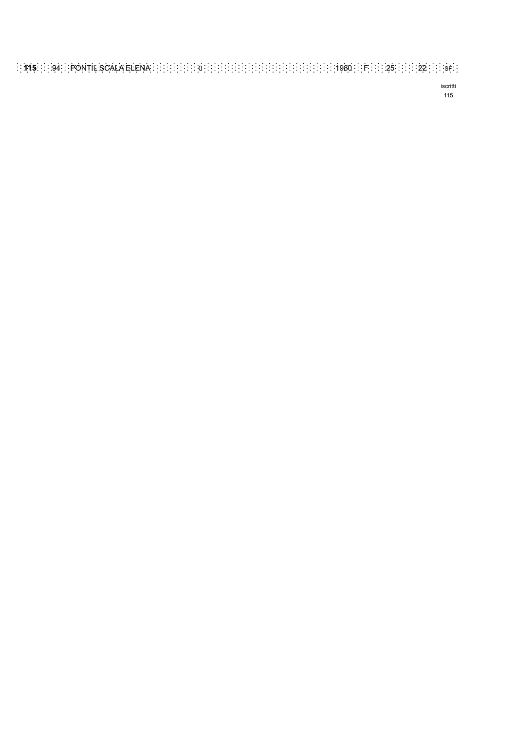iscritti 115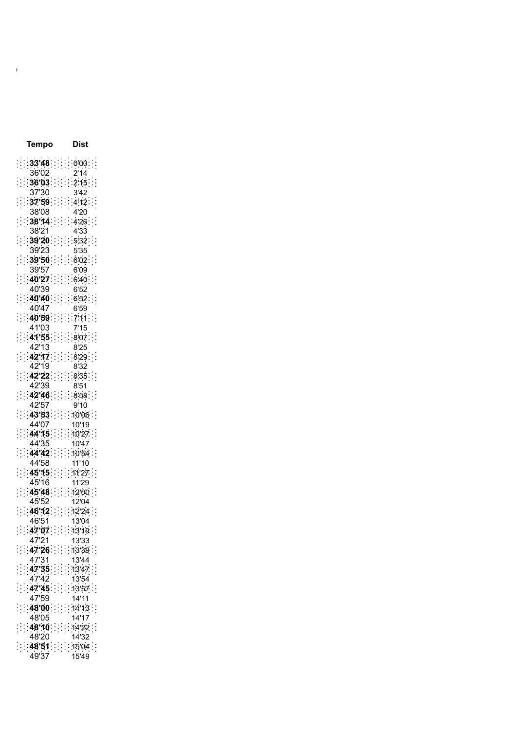|          |                |                      |       | Tempo                   |                             |                |                |                      |                      | Dist           |  |          |                |
|----------|----------------|----------------------|-------|-------------------------|-----------------------------|----------------|----------------|----------------------|----------------------|----------------|--|----------|----------------|
|          |                |                      |       | $33'48$                 |                             |                |                |                      |                      | $000$ .        |  |          |                |
|          |                |                      | 36'02 |                         |                             |                |                |                      |                      | 2'14           |  |          |                |
|          |                |                      |       | $\cdots$ 36'03 $\cdots$ |                             |                |                |                      |                      | 2'15           |  |          |                |
|          |                |                      | 37'30 |                         |                             |                |                |                      |                      | 3'42           |  |          |                |
|          |                |                      |       | 37'59                   |                             |                |                | i,                   |                      | 4'12           |  |          |                |
|          |                |                      | 38'08 |                         |                             |                |                |                      |                      | 4'20           |  |          |                |
|          |                |                      |       | 38'14                   |                             |                |                |                      | İ                    | 4'26           |  |          |                |
|          |                |                      | 38'21 |                         |                             |                |                |                      |                      | 4'33           |  |          |                |
|          |                |                      |       | 39'20                   |                             |                |                |                      | $\ddot{\cdot}$       | 532            |  |          |                |
|          |                |                      | 39'23 |                         |                             |                |                |                      |                      | 5'35           |  |          |                |
|          |                |                      |       | 39'50                   |                             |                |                |                      | $\ddot{\cdot}$       | 6'02           |  |          | $\vdots$       |
|          |                |                      | 39'57 |                         |                             |                |                |                      |                      | 6'09           |  |          |                |
|          |                | $\ddot{\phantom{a}}$ | 40.27 |                         |                             |                | İ              |                      | $\ddot{\phantom{a}}$ | 6'40           |  |          |                |
|          |                |                      | 40'39 |                         |                             |                |                |                      |                      | 6'52           |  |          |                |
|          |                | $\vdots$             |       | 40'40                   |                             |                |                | Ì                    | $\ddot{\cdot}$       | 6'52           |  |          |                |
|          |                |                      | 40'47 |                         |                             |                |                |                      |                      | 6'59           |  |          |                |
|          |                | Ì                    |       | 40'59                   |                             |                | ī              | :                    | İ                    | 7'11           |  |          | $\ddot{\cdot}$ |
|          |                |                      | 41'03 |                         |                             |                |                |                      |                      | 7'15           |  |          |                |
|          |                |                      |       | 41'55                   |                             |                |                | r)                   |                      | $8'07$         |  |          | İ              |
|          |                |                      | 42'13 |                         |                             |                |                |                      |                      | 8'25           |  |          |                |
|          |                |                      | 42'19 | 42'17                   |                             |                |                |                      | $\ddot{\cdot}$       | 8'29           |  |          | $\ddot{\cdot}$ |
|          |                |                      |       |                         |                             |                |                |                      |                      | 8'32           |  |          |                |
|          |                |                      |       | 42.22                   |                             |                |                |                      | $\ddot{\cdot}$       | 8'35           |  |          |                |
|          |                |                      | 42'39 |                         |                             |                |                |                      |                      | 8'51           |  |          |                |
|          | Ì              |                      |       | 42'46                   |                             |                |                | Ì,                   | $\ddot{\cdot}$       | 8.58           |  |          |                |
|          |                |                      | 42'57 |                         |                             |                |                |                      |                      | 9'10           |  |          |                |
|          |                |                      | 44'07 | 43'53                   |                             |                |                |                      |                      | 10'06<br>10'19 |  |          |                |
|          |                |                      |       | 44.15                   |                             |                |                |                      |                      | 10'27          |  | $\vdots$ |                |
| $\vdots$ |                |                      | 44'35 |                         |                             |                | $\ddot{\cdot}$ | Ĩ,                   |                      | 10'47          |  |          |                |
| $\vdots$ |                |                      |       | 44'42                   |                             |                |                |                      | $\vdots$             | 10'54          |  |          | $\ddot{\cdot}$ |
|          |                |                      | 44'58 |                         |                             |                | ÷              | Į,                   |                      | 11'10          |  |          |                |
|          |                |                      |       | 45.15                   |                             |                |                | Ξ                    |                      | 11'27.         |  |          |                |
|          |                |                      | 45'16 |                         |                             |                |                |                      |                      | 11'29          |  |          |                |
| $\vdots$ |                |                      |       | 45'48                   |                             |                |                | Ĩ,                   |                      | 12'00          |  |          |                |
|          |                |                      | 45'52 |                         |                             |                |                |                      |                      | 12'04          |  |          |                |
| $\vdots$ |                |                      |       | 46'12                   |                             |                |                |                      |                      | 12'24          |  |          | $\vdots$       |
|          |                |                      | 46'51 |                         |                             |                |                |                      |                      | 13'04          |  |          |                |
| $\vdots$ | :              | $\frac{1}{2}$        | 47'07 |                         | $\vdots$                    | Ĵ              | $\frac{1}{2}$  |                      | $\ddot{\cdot}$       | 13'19          |  |          |                |
|          |                |                      | 47'21 |                         |                             |                |                |                      |                      | 13'33          |  |          |                |
| $\vdots$ | $\ddot{\cdot}$ | Ĩ                    |       | 47'26                   |                             |                |                | $\ddot{\cdot}$       | Ĩ                    | 13'39          |  |          | $\vdots$       |
|          |                |                      | 47'31 |                         |                             |                |                |                      |                      | 13'44          |  |          |                |
| $\vdots$ | $\vdots$       | İ                    |       | 47'35                   |                             | $\ddot{\cdot}$ | $\frac{1}{2}$  | $\vdots$             | Ĩ,                   | 13'47          |  |          | $\frac{1}{2}$  |
|          |                |                      | 47'42 |                         |                             |                |                |                      |                      | 13'54          |  |          |                |
| $\vdots$ |                | $\vdots$             |       | 47'45                   |                             |                | $\vdots$       |                      | $\vdots$             | 13'57          |  | š        | $\vdots$       |
|          |                |                      | 47'59 |                         |                             |                |                |                      |                      | 14'11          |  |          |                |
| $\vdots$ | $\vdots$       | Ì,                   |       | 48.00                   |                             | $\vdots$       | $\vdots$       | $\ddot{\cdot}$       | $\vdots$             | 14'13          |  |          | $\ddot{\cdot}$ |
|          |                |                      | 48'05 |                         |                             |                |                |                      |                      | 14'17          |  |          |                |
| $\vdots$ | $\vdots$       | $\vdots$             |       | 48'10                   |                             | ĵ              | $\vdots$       | $\ddot{\phantom{0}}$ | $\vdots$             | 14'22          |  |          | $\ddot{\cdot}$ |
|          |                |                      | 48'20 |                         |                             |                |                |                      |                      | 14'32          |  |          |                |
| $\vdots$ | :              | İ                    |       | 48'51                   | $\mathcal{L}_{\mathcal{A}}$ |                |                |                      | $\vdots$             | 15'04          |  | ĵ        | $\vdots$       |
|          |                |                      | 49'37 |                         |                             |                |                |                      |                      | 15'49          |  |          |                |

**CAI C.N.S.A.S COMUNE DI SAPPADA A.S.CAMOSCI VIGILI DEL FUOCO**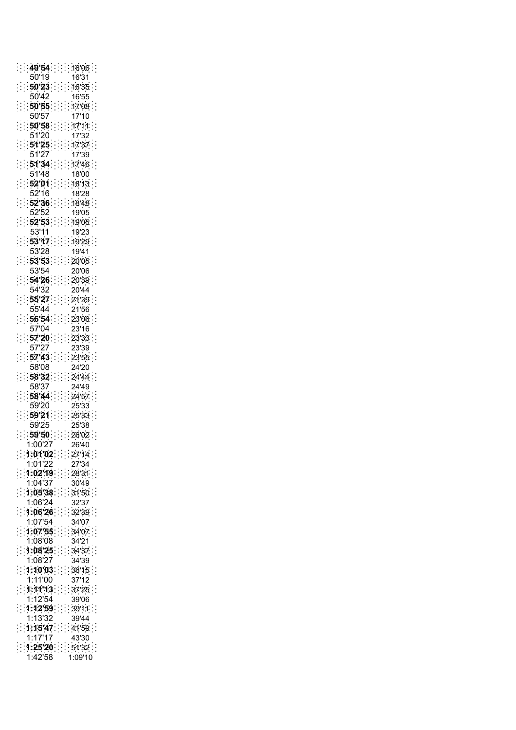|                |                      |    | 49'54   |       |                    |                |                      |                      |                      |                      | 16'06.                        |
|----------------|----------------------|----|---------|-------|--------------------|----------------|----------------------|----------------------|----------------------|----------------------|-------------------------------|
|                |                      |    |         | 50'19 |                    |                |                      |                      |                      |                      | 16'31                         |
|                | Ϊ                    |    |         |       | 50'23              |                |                      | $\ddot{\cdot}$       | Ì                    |                      | 16'35<br>$\ddot{\cdot}$       |
|                |                      |    |         | 50'42 |                    |                |                      |                      |                      |                      | 16'55                         |
|                | $\ddot{\phantom{a}}$ |    |         |       | 50'55              |                |                      | $\vdots$             | ij.                  |                      | 1708.                         |
|                |                      |    |         | 50'57 |                    |                |                      |                      |                      |                      | 17'10                         |
|                |                      |    |         |       |                    |                |                      |                      |                      |                      |                               |
|                |                      |    |         |       | 50'58              |                |                      |                      |                      |                      | 17'11.                        |
|                |                      |    |         | 51'20 |                    |                |                      |                      |                      |                      | 17'32                         |
|                |                      |    |         |       | 51'25              |                |                      |                      | $\ddot{\phantom{a}}$ |                      | 17'37                         |
|                |                      |    |         | 51'27 |                    |                |                      |                      |                      |                      | 17'39                         |
|                |                      |    |         |       | 51'34              |                |                      |                      |                      |                      | 1746                          |
|                |                      |    |         | 51'48 |                    |                |                      |                      |                      |                      | 18'00                         |
|                |                      |    | 52'01   |       |                    |                |                      | $\vdots$             | $\ddot{\phantom{0}}$ | $\ddot{\cdot}$       | 18'13                         |
|                |                      |    |         | 52'16 |                    |                |                      |                      |                      |                      | 18'28                         |
|                | Ì                    |    | 52'36   |       |                    | İ              | $\ddot{\phantom{a}}$ | $\vdots$             | Ì                    |                      | 18'48                         |
|                |                      |    |         | 52'52 |                    |                |                      |                      |                      |                      | 19'05                         |
| İ              | $\ddot{\cdot}$       | t, |         |       | 52'53              |                |                      | J,                   |                      |                      | $\ddot{\phantom{a}}$<br>19'05 |
|                |                      |    |         |       |                    |                |                      |                      |                      |                      |                               |
|                |                      |    | 53'11   |       |                    |                |                      |                      |                      |                      | 19'23                         |
|                | $\ddot{\phantom{a}}$ | İ  |         |       | 53'17              |                |                      | $\ddot{\cdot}$       | $\ddot{\phantom{a}}$ |                      | 19'29<br>ŕ,                   |
|                |                      |    |         | 53'28 |                    |                |                      |                      |                      |                      | 19'41                         |
|                |                      |    |         |       | 53'53              |                |                      |                      |                      |                      | 20'05.                        |
|                |                      |    |         | 53'54 |                    |                |                      |                      |                      |                      | 20'06                         |
|                | $\ddot{\phantom{a}}$ |    | 54'26   |       |                    | $\ddot{\cdot}$ |                      |                      | :                    |                      | 20'39                         |
|                |                      |    |         | 54'32 |                    |                |                      |                      |                      |                      | 20'44                         |
|                |                      |    | 55'27   |       |                    |                |                      |                      |                      |                      | 21'39.                        |
|                |                      |    |         | 55'44 |                    |                |                      |                      |                      |                      | 21'56                         |
|                |                      |    |         |       | 56.54              | Ĩ.             |                      | $\ddot{\phantom{a}}$ |                      |                      | 23'06.                        |
|                |                      |    |         | 57'04 |                    |                |                      |                      |                      |                      | 23'16                         |
|                | t                    |    | 57'20   |       |                    | ÷,             |                      | $\ddot{\cdot}$       | $\ddot{\phantom{a}}$ |                      | 23'33                         |
|                |                      |    |         | 57'27 |                    |                |                      |                      |                      |                      | 23'39                         |
| Ξ              | $\ddot{\cdot}$       | E, |         |       | 57'43              |                |                      | $\ddot{\phantom{0}}$ |                      |                      | $\ddot{\cdot}$<br>23'55       |
|                |                      |    |         | 58'08 |                    |                |                      |                      |                      |                      |                               |
|                |                      |    |         |       |                    |                |                      |                      |                      |                      | 24'20                         |
|                | t                    | Ī  |         |       | 58'32              |                |                      | İ                    | $\ddot{\phantom{a}}$ | İ                    | 24'44.                        |
|                |                      |    |         | 58'37 |                    |                |                      |                      |                      |                      | 24'49                         |
|                | $\ddot{\phantom{0}}$ |    |         |       | 58'44              |                |                      |                      |                      |                      | 24'57                         |
|                |                      |    |         | 59'20 |                    |                |                      |                      |                      |                      | 25'33                         |
|                |                      |    | 59.21   |       |                    |                |                      | $\ddot{\phantom{a}}$ | $\frac{1}{2}$        |                      | 25'33                         |
|                |                      |    |         | 59'25 |                    |                |                      |                      |                      |                      | 25'38                         |
|                |                      |    |         |       | 59'50              |                |                      | ÷,                   |                      |                      | 26'02                         |
|                |                      |    |         |       | 1:00'27            |                |                      |                      |                      |                      | 26'40                         |
|                |                      |    |         |       | 1:01'02            |                |                      |                      |                      |                      | :27'14                        |
|                |                      |    |         |       | 1:01'22            |                |                      |                      |                      |                      | 27'34                         |
|                |                      |    |         |       | 1:02'19            |                |                      |                      |                      |                      | 28'31                         |
|                |                      |    |         |       | 1:04'37            |                |                      |                      |                      |                      | 30'49                         |
| $\vdots$       | $\ddot{\cdot}$       |    |         |       | 1:05'38            |                |                      |                      | $\frac{1}{2}$        | į.                   | $\frac{1}{2}$<br>31'50        |
|                |                      |    |         |       | 1:06'24            |                |                      |                      |                      |                      | 32'37                         |
| $\vdots$       |                      |    |         |       | 1:06'26            |                |                      |                      | $\ddot{\phantom{a}}$ |                      | 32'39<br>İ,                   |
|                |                      |    |         |       | 1:07'54            |                |                      |                      |                      |                      | 34'07                         |
|                |                      |    |         |       |                    |                |                      |                      |                      |                      |                               |
| $\vdots$       |                      |    |         |       |                    |                |                      |                      |                      |                      |                               |
|                | $\ddot{\phantom{0}}$ |    | 1:07.55 |       |                    |                |                      |                      | $\ddot{\phantom{a}}$ |                      | Ĩ,<br>34'07                   |
|                |                      |    |         |       | 1:08'08            |                |                      |                      |                      |                      | 34'21                         |
| $\vdots$       | $\ddot{\phantom{0}}$ |    |         |       | $1:08'25$ .        |                |                      |                      | $\vdots$             | $\vdots$             | $\vdots$<br>34'37<br>.<br>.   |
|                |                      |    |         |       | 1:08'27            |                |                      |                      |                      |                      | 34'39                         |
| $\vdots$       | Ì                    |    |         |       | 1:10'03            |                |                      |                      | š                    |                      | 36'15                         |
|                |                      |    |         |       | 1:11'00            |                |                      |                      |                      |                      | 37'12                         |
| $\vdots$       | $\ddot{\cdot}$       |    |         |       | 1:11'13            |                |                      |                      | $\frac{1}{2}$        |                      | Ĩ,<br>37'25                   |
|                |                      |    |         |       | 1:12'54            |                |                      |                      |                      |                      | 39'06                         |
| $\ddot{\cdot}$ | Ξ                    |    |         |       | 1:12'59            |                |                      |                      | $\vdots$             | $\ddot{\phantom{0}}$ | 39'11                         |
|                |                      |    |         |       | 1:13'32            |                |                      |                      |                      |                      | $\frac{1}{2}$<br>39'44        |
|                |                      |    |         |       | 1:15'47            |                |                      |                      |                      |                      |                               |
| $\vdots$       |                      |    |         |       | 1:17'17            |                |                      | $\ddot{\cdot}$       |                      | $\vdots$             | $\ddot{.}$<br>41'59<br>43'30  |
|                |                      |    |         |       |                    |                |                      |                      |                      |                      |                               |
| $\ddot{\cdot}$ |                      |    |         |       | 1:25'20<br>1:42'58 |                |                      |                      |                      |                      | .6132.<br>1:09'10             |